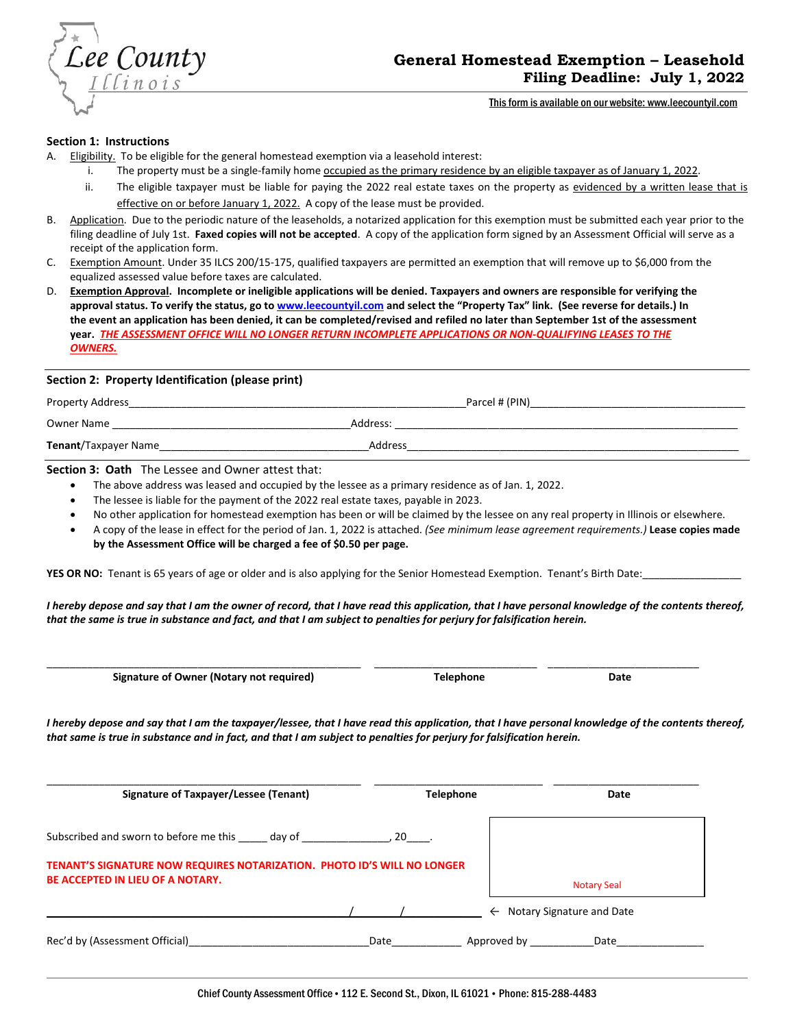

This form is available on our website: www.leecountyil.com

#### **Section 1: Instructions**

- A. Eligibility. To be eligible for the general homestead exemption via a leasehold interest:
	- i. The property must be a single-family home occupied as the primary residence by an eligible taxpayer as of January 1, 2022.
	- ii. The eligible taxpayer must be liable for paying the 2022 real estate taxes on the property as evidenced by a written lease that is effective on or before January 1, 2022. A copy of the lease must be provided.
- B. Application. Due to the periodic nature of the leaseholds, a notarized application for this exemption must be submitted each year prior to the filing deadline of July 1st. **Faxed copies will not be accepted**. A copy of the application form signed by an Assessment Official will serve as a receipt of the application form.
- C. Exemption Amount. Under 35 ILCS 200/15-175, qualified taxpayers are permitted an exemption that will remove up to \$6,000 from the equalized assessed value before taxes are calculated.
- D. **Exemption Approval. Incomplete or ineligible applications will be denied. Taxpayers and owners are responsible for verifying the approval status. To verify the status, go t[o www.leecountyil.com](http://www.leecountyil.com/) and select the "Property Tax" link. (See reverse for details.) In the event an application has been denied, it can be completed/revised and refiled no later than September 1st of the assessment year.** *THE ASSESSMENT OFFICE WILL NO LONGER RETURN INCOMPLETE APPLICATIONS OR NON-QUALIFYING LEASES TO THE OWNERS.*

### **Section 2: Property Identification (please print)**

Property Address and the community of the community of the community of the community of the community of the community of the community of the community of the community of the community of the community of the community

Owner Name **contract and the example of the example of the example of the example of the example of the example of the example of the example of the example of the example of the example of the example of the example of th** 

**Tenant**/Taxpayer Name\_\_\_\_\_\_\_\_\_\_\_\_\_\_\_\_\_\_\_\_\_\_\_\_\_\_\_\_\_\_\_\_\_\_\_\_Address\_\_\_\_\_\_\_\_\_\_\_\_\_\_\_\_\_\_\_\_\_\_\_\_\_\_\_\_\_\_\_\_\_\_\_\_\_\_\_\_\_\_\_\_\_\_\_\_\_\_\_\_\_\_\_\_\_

**Section 3: Oath** The Lessee and Owner attest that:

- The above address was leased and occupied by the lessee as a primary residence as of Jan. 1, 2022.
- The lessee is liable for the payment of the 2022 real estate taxes, payable in 2023.
- No other application for homestead exemption has been or will be claimed by the lessee on any real property in Illinois or elsewhere.
- A copy of the lease in effect for the period of Jan. 1, 2022 is attached. *(See minimum lease agreement requirements.)* **Lease copies made by the Assessment Office will be charged a fee of \$0.50 per page.**

YES OR NO: Tenant is 65 years of age or older and is also applying for the Senior Homestead Exemption. Tenant's Birth Date:

*I hereby depose and say that I am the owner of record, that I have read this application, that I have personal knowledge of the contents thereof, that the same is true in substance and fact, and that I am subject to penalties for perjury for falsification herein.*

 **Signature of Owner (Notary not required) Telephone Date**

\_\_\_\_\_\_\_\_\_\_\_\_\_\_\_\_\_\_\_\_\_\_\_\_\_\_\_\_\_\_\_\_\_\_\_\_\_\_\_\_\_\_\_\_\_\_\_\_\_\_\_\_\_\_ \_\_\_\_\_\_\_\_\_\_\_\_\_\_\_\_\_\_\_\_\_\_\_\_\_\_\_\_ \_\_\_\_\_\_\_\_\_\_\_\_\_\_\_\_\_\_\_\_\_\_\_\_\_\_

*I hereby depose and say that I am the taxpayer/lessee, that I have read this application, that I have personal knowledge of the contents thereof, that same is true in substance and in fact, and that I am subject to penalties for perjury for falsification herein.* 

| Signature of Taxpayer/Lessee (Tenant)                                                                              | <b>Telephone</b> | Date                                   |
|--------------------------------------------------------------------------------------------------------------------|------------------|----------------------------------------|
| Subscribed and sworn to before me this day of                                                                      | , $20$ _____.    |                                        |
| TENANT'S SIGNATURE NOW REQUIRES NOTARIZATION. PHOTO ID'S WILL NO LONGER<br><b>BE ACCEPTED IN LIEU OF A NOTARY.</b> |                  | <b>Notary Seal</b>                     |
|                                                                                                                    |                  | $\leftarrow$ Notary Signature and Date |
| Rec'd by (Assessment Official)                                                                                     | Date             | Approved by<br>Date                    |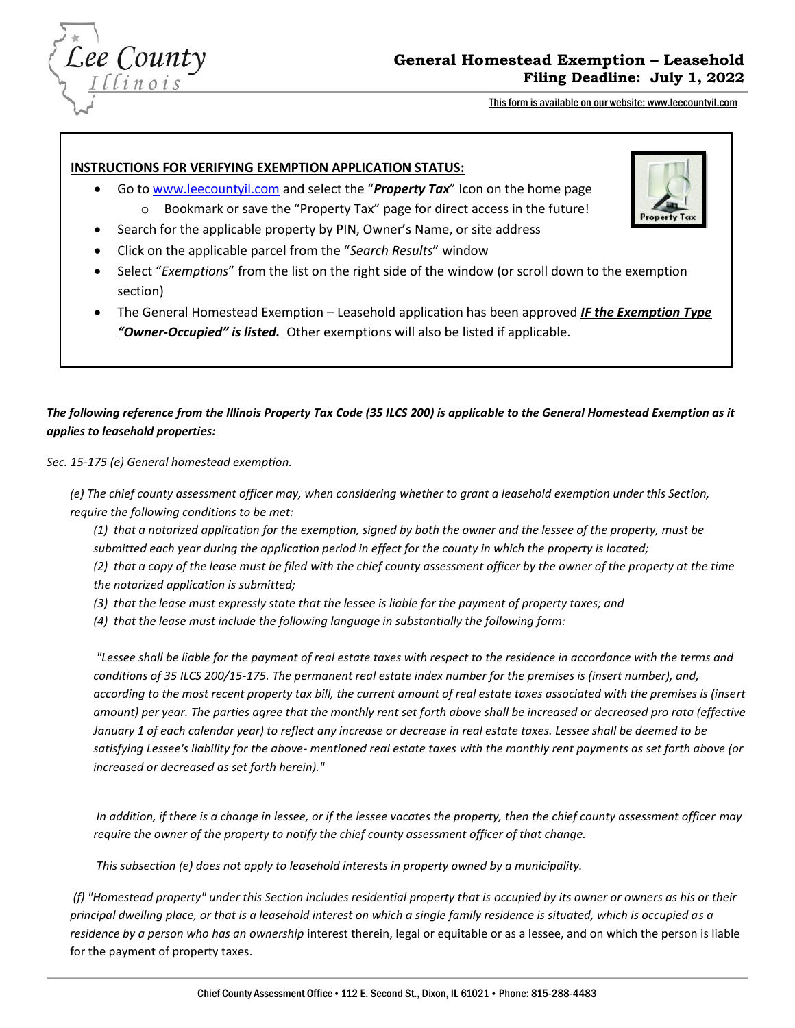

# **General Homestead Exemption – Leasehold Filing Deadline: July 1, 2022**

This form is available on our website: www.leecountyil.com

### **INSTRUCTIONS FOR VERIFYING EXEMPTION APPLICATION STATUS:**

- Go t[o www.leecountyil.com](http://www.leecountyil.com/) and select the "*Property Tax*" Icon on the home page o Bookmark or save the "Property Tax" page for direct access in the future!
- Search for the applicable property by PIN, Owner's Name, or site address
- Click on the applicable parcel from the "*Search Results*" window
- Select "*Exemptions*" from the list on the right side of the window (or scroll down to the exemption section)
- The General Homestead Exemption Leasehold application has been approved *IF the Exemption Type "Owner-Occupied" is listed.* Other exemptions will also be listed if applicable.

# *The following reference from the Illinois Property Tax Code (35 ILCS 200) is applicable to the General Homestead Exemption as it applies to leasehold properties:*

*Sec. 15-175 (e) General homestead exemption.* 

*(e) The chief county assessment officer may, when considering whether to grant a leasehold exemption under this Section, require the following conditions to be met:* 

*(1) that a notarized application for the exemption, signed by both the owner and the lessee of the property, must be submitted each year during the application period in effect for the county in which the property is located;* 

*(2) that a copy of the lease must be filed with the chief county assessment officer by the owner of the property at the time the notarized application is submitted;* 

*(3) that the lease must expressly state that the lessee is liable for the payment of property taxes; and* 

 *(4) that the lease must include the following language in substantially the following form:* 

*"Lessee shall be liable for the payment of real estate taxes with respect to the residence in accordance with the terms and conditions of 35 ILCS 200/15-175. The permanent real estate index number for the premises is (insert number), and, according to the most recent property tax bill, the current amount of real estate taxes associated with the premises is (insert amount) per year. The parties agree that the monthly rent set forth above shall be increased or decreased pro rata (effective January 1 of each calendar year) to reflect any increase or decrease in real estate taxes. Lessee shall be deemed to be satisfying Lessee's liability for the above- mentioned real estate taxes with the monthly rent payments as set forth above (or increased or decreased as set forth herein)."* 

*In addition, if there is a change in lessee, or if the lessee vacates the property, then the chief county assessment officer may require the owner of the property to notify the chief county assessment officer of that change.* 

 *This subsection (e) does not apply to leasehold interests in property owned by a municipality.* 

*(f) "Homestead property" under this Section includes residential property that is occupied by its owner or owners as his or their principal dwelling place, or that is a leasehold interest on which a single family residence is situated, which is occupied as a residence by a person who has an ownership* interest therein, legal or equitable or as a lessee, and on which the person is liable for the payment of property taxes.

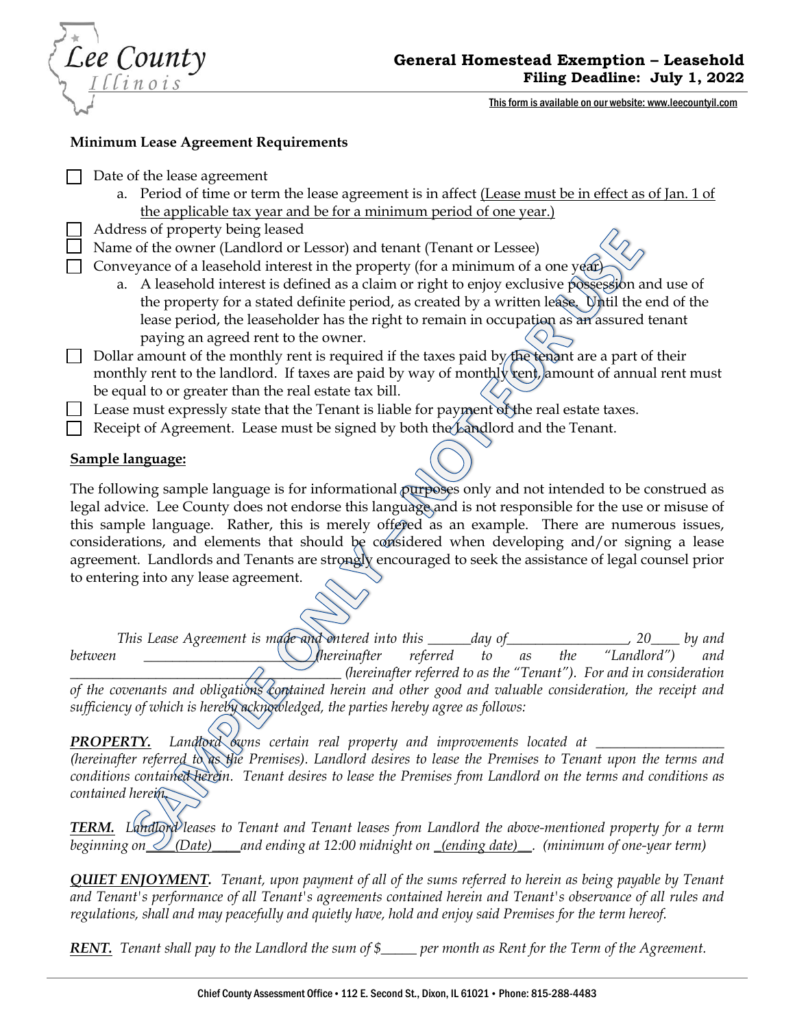Lee County

This form is available on our website: www.leecountyil.com

## **Minimum Lease Agreement Requirements**

Date of the lease agreement

- a. Period of time or term the lease agreement is in affect (Lease must be in effect as of Jan. 1 of the applicable tax year and be for a minimum period of one year.)
- Address of property being leased

Name of the owner (Landlord or Lessor) and tenant (Tenant or Lessee)

Conveyance of a leasehold interest in the property (for a minimum of a one year)

- a. A leasehold interest is defined as a claim or right to enjoy exclusive possession and use of the property for a stated definite period, as created by a written lease. Until the end of the lease period, the leaseholder has the right to remain in occupation as an assured tenant paying an agreed rent to the owner.
- Dollar amount of the monthly rent is required if the taxes paid by the tenant are a part of their monthly rent to the landlord. If taxes are paid by way of monthly rent, amount of annual rent must be equal to or greater than the real estate tax bill.

 $\Box$  Lease must expressly state that the Tenant is liable for payment of the real estate taxes.

Receipt of Agreement. Lease must be signed by both the Landlord and the Tenant.

# **Sample language:**

The following sample language is for informational purposes only and not intended to be construed as legal advice. Lee County does not endorse this language and is not responsible for the use or misuse of this sample language. Rather, this is merely offered as an example. There are numerous issues, considerations, and elements that should be considered when developing and/or signing a lease agreement. Landlords and Tenants are strongly encouraged to seek the assistance of legal counsel prior to entering into any lease agreement.

*This Lease Agreement is made and entered into this \_\_\_\_\_\_day of\_\_\_\_\_\_\_\_\_\_\_\_\_\_\_\_\_, 20\_\_\_\_ by and between between between between as the "Landlord") and <b><i>between as the "Landlord") and \_\_\_\_\_\_\_\_\_\_\_\_\_\_\_\_\_\_\_\_\_\_\_\_\_\_\_\_\_\_\_\_\_\_\_\_\_\_ (hereinafter referred to as the "Tenant"). For and in consideration of the covenants and obligations contained herein and other good and valuable consideration, the receipt and sufficiency of which is hereby acknowledged, the parties hereby agree as follows:* 

**PROPERTY.** Landlord *bwns* certain real property and improvements located at \_\_\_\_\_ *(hereinafter referred to as the Premises). Landlord desires to lease the Premises to Tenant upon the terms and conditions contained herein. Tenant desires to lease the Premises from Landlord on the terms and conditions as contained herein.* 

*TERM. Landlord leases to Tenant and Tenant leases from Landlord the above-mentioned property for a term beginning on\_\_\_\_(Date)\_\_\_\_and ending at 12:00 midnight on \_(ending date)\_\_. (minimum of one-year term)*

*QUIET ENJOYMENT. Tenant, upon payment of all of the sums referred to herein as being payable by Tenant and Tenant's performance of all Tenant's agreements contained herein and Tenant's observance of all rules and regulations, shall and may peacefully and quietly have, hold and enjoy said Premises for the term hereof.* 

*RENT. Tenant shall pay to the Landlord the sum of \$\_\_\_\_\_ per month as Rent for the Term of the Agreement.*